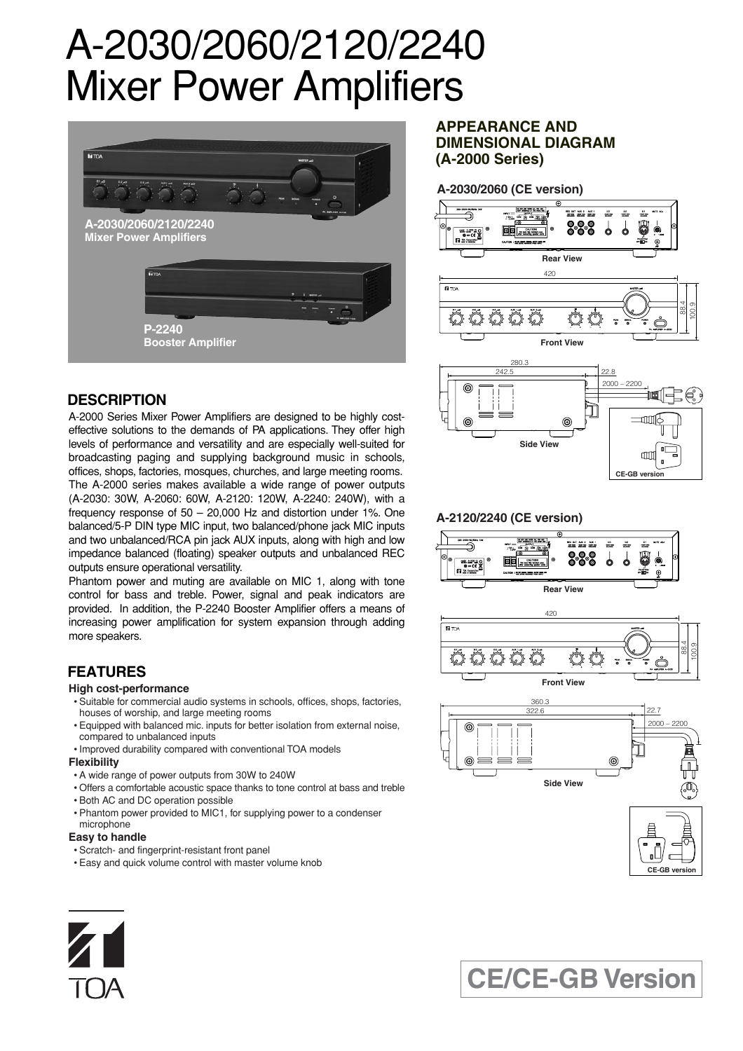# A-2030/2060/2120/2240 Mixer Power Amplifiers



## **DESCRIPTION**

A-2000 Series Mixer Power Amplifiers are designed to be highly costeffective solutions to the demands of PA applications. They offer high levels of performance and versatility and are especially well-suited for broadcasting paging and supplying background music in schools, offices, shops, factories, mosques, churches, and large meeting rooms. The A-2000 series makes available a wide range of power outputs (A-2030: 30W, A-2060: 60W, A-2120: 120W, A-2240: 240W), with a frequency response of 50 – 20,000 Hz and distortion under 1%. One balanced/5-P DIN type MIC input, two balanced/phone jack MIC inputs and two unbalanced/RCA pin jack AUX inputs, along with high and low impedance balanced (floating) speaker outputs and unbalanced REC outputs ensure operational versatility.

Phantom power and muting are available on MIC 1, along with tone control for bass and treble. Power, signal and peak indicators are provided. In addition, the P-2240 Booster Amplifier offers a means of increasing power amplification for system expansion through adding more speakers.

## **FEATURES**

### **High cost-performance**

- Suitable for commercial audio systems in schools, offices, shops, factories, houses of worship, and large meeting rooms
- Equipped with balanced mic. inputs for better isolation from external noise, compared to unbalanced inputs
- Improved durability compared with conventional TOA models

### **Flexibility**

- A wide range of power outputs from 30W to 240W
- Offers a comfortable acoustic space thanks to tone control at bass and treble
- Both AC and DC operation possible
- Phantom power provided to MIC1, for supplying power to a condenser microphone

### **Easy to handle**

- Scratch- and fingerprint-resistant front panel
- Easy and quick volume control with master volume knob

## **APPEARANCE AND DIMENSIONAL DIAGRAM (A-2000 Series)**





## **A-2120/2240 (CE version)**











## **CE/CE-GB Version**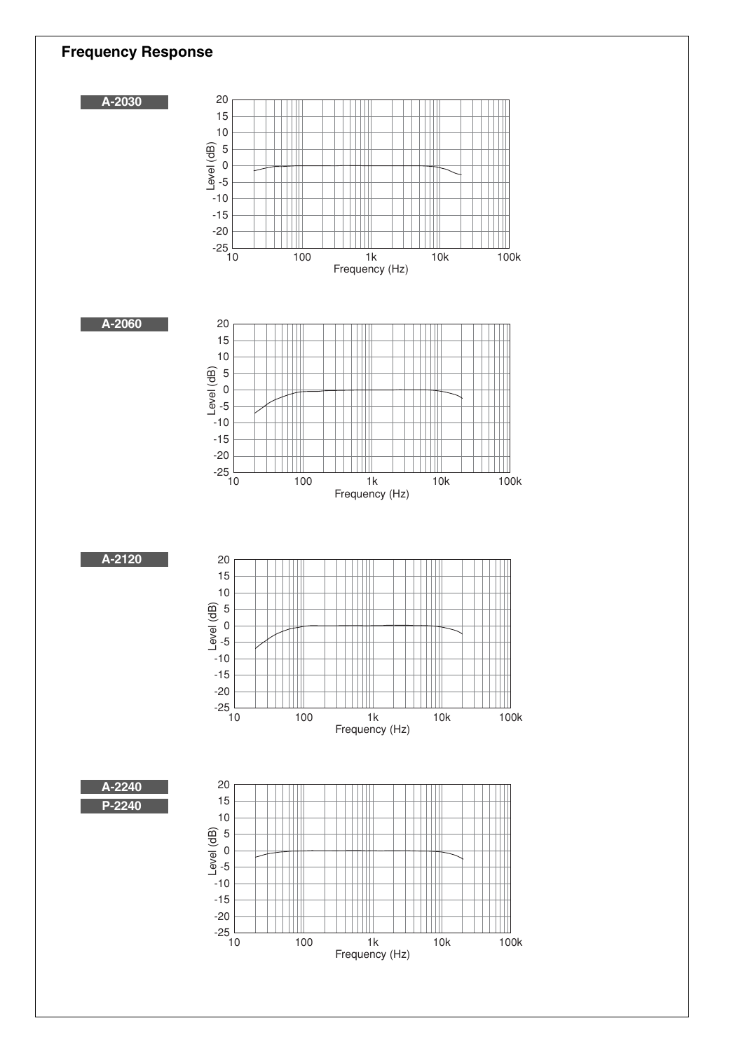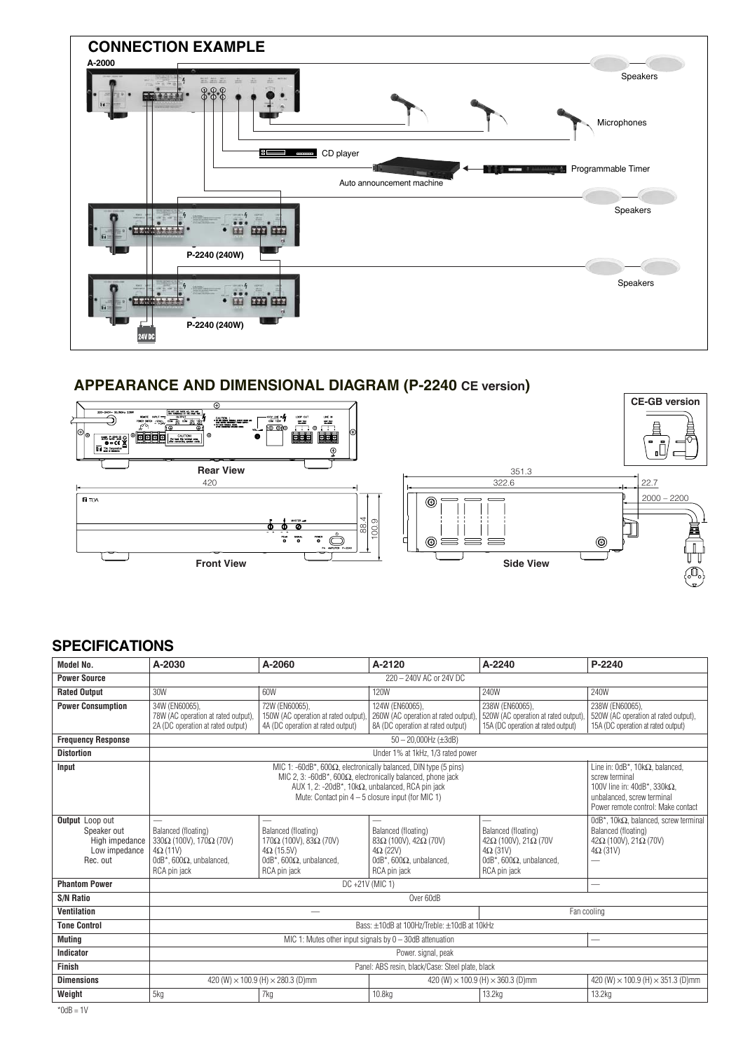

## **APPEARANCE AND DIMENSIONAL DIAGRAM (P-2240 CE version)**



## **SPECIFICATIONS**

| <b>Model No.</b>                                                              | A-2030                                                                                                                                                                                                                                                             | A-2060                                                                                                                      | A-2120                                                                                                                             | A-2240                                                                                                                             | P-2240                                                                                                                                                                        |  |
|-------------------------------------------------------------------------------|--------------------------------------------------------------------------------------------------------------------------------------------------------------------------------------------------------------------------------------------------------------------|-----------------------------------------------------------------------------------------------------------------------------|------------------------------------------------------------------------------------------------------------------------------------|------------------------------------------------------------------------------------------------------------------------------------|-------------------------------------------------------------------------------------------------------------------------------------------------------------------------------|--|
| <b>Power Source</b>                                                           | 220 - 240V AC or 24V DC                                                                                                                                                                                                                                            |                                                                                                                             |                                                                                                                                    |                                                                                                                                    |                                                                                                                                                                               |  |
| <b>Rated Output</b>                                                           | 30W                                                                                                                                                                                                                                                                | 60W                                                                                                                         | <b>120W</b>                                                                                                                        | 240W                                                                                                                               | 240W                                                                                                                                                                          |  |
| <b>Power Consumption</b>                                                      | 34W (EN60065).<br>78W (AC operation at rated output),<br>2A (DC operation at rated output)                                                                                                                                                                         | 72W (EN60065).<br>150W (AC operation at rated output).<br>4A (DC operation at rated output)                                 | 124W (EN60065),<br>260W (AC operation at rated output),<br>8A (DC operation at rated output)                                       | 238W (EN60065).<br>520W (AC operation at rated output).<br>15A (DC operation at rated output)                                      | 238W (EN60065),<br>520W (AC operation at rated output),<br>15A (DC operation at rated output)                                                                                 |  |
| <b>Frequency Response</b>                                                     | $50 - 20,000$ Hz ( $\pm 3$ dB)                                                                                                                                                                                                                                     |                                                                                                                             |                                                                                                                                    |                                                                                                                                    |                                                                                                                                                                               |  |
| <b>Distortion</b>                                                             | Under 1% at 1kHz, 1/3 rated power                                                                                                                                                                                                                                  |                                                                                                                             |                                                                                                                                    |                                                                                                                                    |                                                                                                                                                                               |  |
| Input                                                                         | MIC 1: -60dB*, 600 $\Omega$ , electronically balanced, DIN type (5 pins)<br>MIC 2, 3: -60dB*, 600 $\Omega$ , electronically balanced, phone jack<br>AUX 1, 2: -20dB*, 10k $\Omega$ , unbalanced, RCA pin jack<br>Mute: Contact pin $4-5$ closure input (for MIC 1) |                                                                                                                             |                                                                                                                                    |                                                                                                                                    | Line in: $0dB^*$ , 10k $\Omega$ , balanced,<br>screw terminal<br>100V line in: $40dB^*$ , 330k $\Omega$ ,<br>unbalanced, screw terminal<br>Power remote control: Make contact |  |
| Output Loop out<br>Speaker out<br>High impedance<br>Low impedance<br>Rec. out | Balanced (floating)<br>330Ω (100V), 170Ω (70V)<br>$4\Omega(11V)$<br>0dB*, 600 $\Omega$ , unbalanced,<br>RCA pin jack                                                                                                                                               | Balanced (floating)<br>$170Ω$ (100V), 83 $Ω$ (70V)<br>$4\Omega$ (15.5V)<br>0dB*, 600 $\Omega$ , unbalanced.<br>RCA pin jack | Balanced (floating)<br>$83\Omega$ (100V), 42 $\Omega$ (70V)<br>$4\Omega$ (22V)<br>0dB*, 600 $\Omega$ , unbalanced,<br>RCA pin jack | Balanced (floating)<br>$42\Omega$ (100V), 21 $\Omega$ (70V)<br>$4\Omega$ (31V)<br>0dB*, 600 $\Omega$ , unbalanced,<br>RCA pin jack | $0dB^*$ , 10k $\Omega$ , balanced, screw terminal<br>Balanced (floating)<br>$42\Omega$ (100V), 21 $\Omega$ (70V)<br>$4\Omega$ (31V)                                           |  |
| <b>Phantom Power</b>                                                          | DC +21V (MIC 1)                                                                                                                                                                                                                                                    |                                                                                                                             |                                                                                                                                    |                                                                                                                                    | $\overline{\phantom{0}}$                                                                                                                                                      |  |
| <b>S/N Ratio</b>                                                              | Over 60dB                                                                                                                                                                                                                                                          |                                                                                                                             |                                                                                                                                    |                                                                                                                                    |                                                                                                                                                                               |  |
| <b>Ventilation</b>                                                            |                                                                                                                                                                                                                                                                    |                                                                                                                             |                                                                                                                                    |                                                                                                                                    | Fan cooling                                                                                                                                                                   |  |
| <b>Tone Control</b>                                                           | Bass: ±10dB at 100Hz/Treble: ±10dB at 10kHz                                                                                                                                                                                                                        |                                                                                                                             |                                                                                                                                    |                                                                                                                                    |                                                                                                                                                                               |  |
| <b>Muting</b>                                                                 | MIC 1: Mutes other input signals by $0 - 30$ dB attenuation                                                                                                                                                                                                        |                                                                                                                             |                                                                                                                                    |                                                                                                                                    | -                                                                                                                                                                             |  |
| Indicator                                                                     | Power. signal, peak                                                                                                                                                                                                                                                |                                                                                                                             |                                                                                                                                    |                                                                                                                                    |                                                                                                                                                                               |  |
| Finish                                                                        | Panel: ABS resin, black/Case: Steel plate, black                                                                                                                                                                                                                   |                                                                                                                             |                                                                                                                                    |                                                                                                                                    |                                                                                                                                                                               |  |
| <b>Dimensions</b>                                                             |                                                                                                                                                                                                                                                                    | 420 (W) $\times$ 100.9 (H) $\times$ 280.3 (D)mm                                                                             | 420 (W) $\times$ 100.9 (H) $\times$ 360.3 (D)mm                                                                                    |                                                                                                                                    | 420 (W) $\times$ 100.9 (H) $\times$ 351.3 (D)mm                                                                                                                               |  |
| Weight                                                                        | 5kg                                                                                                                                                                                                                                                                | 7kg                                                                                                                         | 10.8kg                                                                                                                             | 13.2kg                                                                                                                             | 13.2kg                                                                                                                                                                        |  |
|                                                                               |                                                                                                                                                                                                                                                                    |                                                                                                                             |                                                                                                                                    |                                                                                                                                    |                                                                                                                                                                               |  |